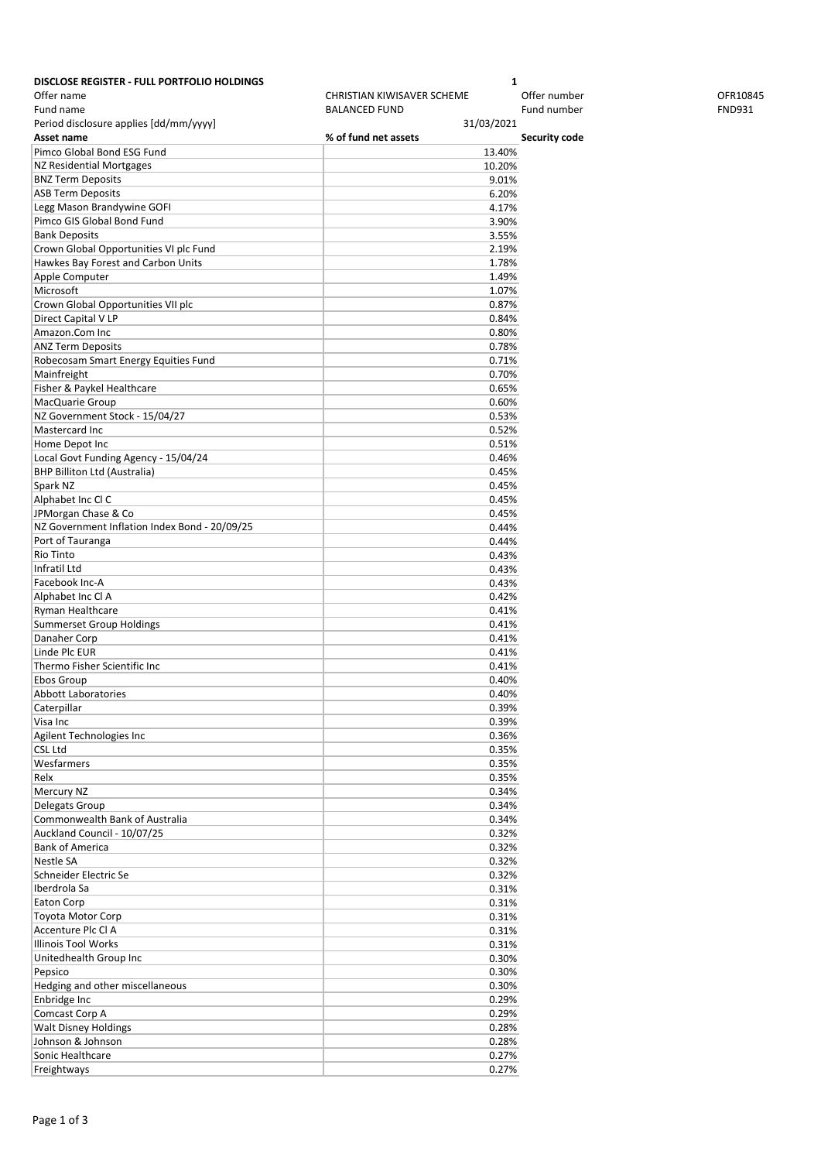| <b>DISCLOSE REGISTER - FULL PORTFOLIO HOLDINGS</b> | 1                                 |               |               |
|----------------------------------------------------|-----------------------------------|---------------|---------------|
| Offer name                                         | <b>CHRISTIAN KIWISAVER SCHEME</b> | Offer number  | OFR10845      |
| Fund name                                          | <b>BALANCED FUND</b>              | Fund number   | <b>FND931</b> |
| Period disclosure applies [dd/mm/yyyy]             | 31/03/2021                        |               |               |
| Asset name                                         | % of fund net assets              | Security code |               |
| Pimco Global Bond ESG Fund                         | 13.40%                            |               |               |
| NZ Residential Mortgages                           | 10.20%                            |               |               |
| <b>BNZ Term Deposits</b>                           | 9.01%                             |               |               |
| <b>ASB Term Deposits</b>                           | 6.20%                             |               |               |
| Legg Mason Brandywine GOFI                         | 4.17%                             |               |               |
| Pimco GIS Global Bond Fund                         | 3.90%                             |               |               |
| <b>Bank Deposits</b>                               | 3.55%                             |               |               |
| Crown Global Opportunities VI plc Fund             | 2.19%                             |               |               |
| Hawkes Bay Forest and Carbon Units                 | 1.78%                             |               |               |
| Apple Computer                                     | 1.49%                             |               |               |
|                                                    |                                   |               |               |
| Microsoft                                          | 1.07%                             |               |               |
| Crown Global Opportunities VII plc                 | 0.87%                             |               |               |
| Direct Capital V LP                                | 0.84%                             |               |               |
| Amazon.Com Inc                                     | 0.80%                             |               |               |
| <b>ANZ Term Deposits</b>                           | 0.78%                             |               |               |
| Robecosam Smart Energy Equities Fund               | 0.71%                             |               |               |
| Mainfreight                                        | 0.70%                             |               |               |
| Fisher & Paykel Healthcare                         | 0.65%                             |               |               |
| MacQuarie Group                                    | 0.60%                             |               |               |
| NZ Government Stock - 15/04/27                     | 0.53%                             |               |               |
| Mastercard Inc                                     | 0.52%                             |               |               |
| Home Depot Inc                                     | 0.51%                             |               |               |
| Local Govt Funding Agency - 15/04/24               | 0.46%                             |               |               |
| <b>BHP Billiton Ltd (Australia)</b>                | 0.45%                             |               |               |
| Spark NZ                                           | 0.45%                             |               |               |
| Alphabet Inc Cl C                                  | 0.45%                             |               |               |
| JPMorgan Chase & Co                                | 0.45%                             |               |               |
| NZ Government Inflation Index Bond - 20/09/25      | 0.44%                             |               |               |
| Port of Tauranga                                   | 0.44%                             |               |               |
| Rio Tinto                                          | 0.43%                             |               |               |
| Infratil Ltd                                       | 0.43%                             |               |               |
| Facebook Inc-A                                     | 0.43%                             |               |               |
| Alphabet Inc Cl A                                  | 0.42%                             |               |               |
| Ryman Healthcare                                   | 0.41%                             |               |               |
| Summerset Group Holdings                           | 0.41%                             |               |               |
| Danaher Corp                                       | 0.41%                             |               |               |
| Linde Plc EUR                                      | 0.41%                             |               |               |
| Thermo Fisher Scientific Inc                       | 0.41%                             |               |               |
| Ebos Group                                         | 0.40%                             |               |               |
| Abbott Laboratories                                | 0.40%                             |               |               |
| Caterpillar                                        |                                   |               |               |
|                                                    | 0.39%                             |               |               |
| Visa Inc                                           | 0.39%                             |               |               |
| Agilent Technologies Inc                           | 0.36%                             |               |               |
| CSL Ltd                                            | 0.35%                             |               |               |
| Wesfarmers                                         | 0.35%                             |               |               |
| Relx                                               | 0.35%                             |               |               |
| Mercury NZ                                         | 0.34%                             |               |               |
| Delegats Group                                     | 0.34%                             |               |               |
| Commonwealth Bank of Australia                     | 0.34%                             |               |               |
| Auckland Council - 10/07/25                        | 0.32%                             |               |               |
| <b>Bank of America</b>                             | 0.32%                             |               |               |
| Nestle SA                                          | 0.32%                             |               |               |
| Schneider Electric Se                              | 0.32%                             |               |               |
| Iberdrola Sa                                       | 0.31%                             |               |               |
| Eaton Corp                                         | 0.31%                             |               |               |
| Toyota Motor Corp                                  | 0.31%                             |               |               |
| Accenture Plc Cl A                                 | 0.31%                             |               |               |
| <b>Illinois Tool Works</b>                         | 0.31%                             |               |               |
| Unitedhealth Group Inc                             | 0.30%                             |               |               |
| Pepsico                                            | 0.30%                             |               |               |
| Hedging and other miscellaneous                    | 0.30%                             |               |               |
| Enbridge Inc                                       | 0.29%                             |               |               |
| Comcast Corp A                                     | 0.29%                             |               |               |
| <b>Walt Disney Holdings</b>                        | 0.28%                             |               |               |
| Johnson & Johnson                                  | 0.28%                             |               |               |
| Sonic Healthcare                                   | 0.27%                             |               |               |
| Freightways                                        | 0.27%                             |               |               |
|                                                    |                                   |               |               |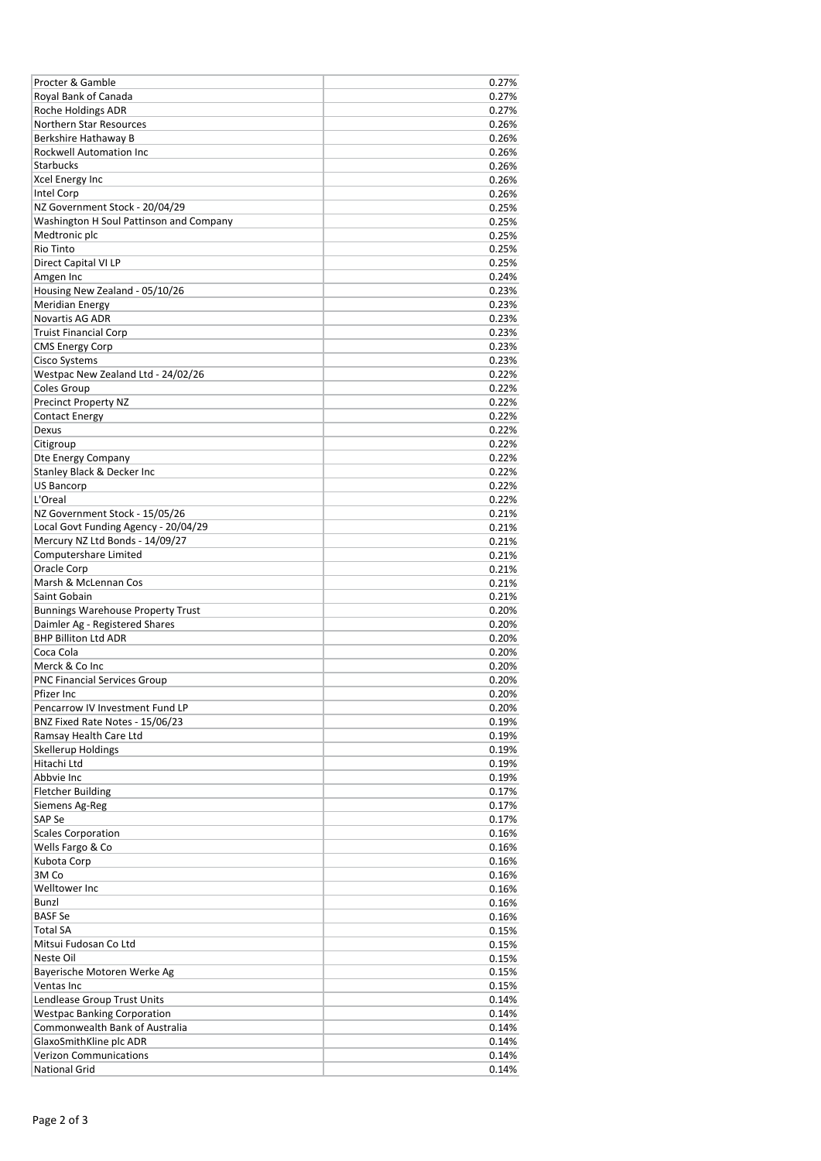| Procter & Gamble                         | 0.27% |
|------------------------------------------|-------|
| Royal Bank of Canada                     | 0.27% |
| Roche Holdings ADR                       | 0.27% |
| Northern Star Resources                  | 0.26% |
| Berkshire Hathaway B                     | 0.26% |
|                                          | 0.26% |
| Rockwell Automation Inc                  |       |
| <b>Starbucks</b>                         | 0.26% |
| <b>Xcel Energy Inc</b>                   | 0.26% |
| Intel Corp                               | 0.26% |
| NZ Government Stock - 20/04/29           | 0.25% |
| Washington H Soul Pattinson and Company  | 0.25% |
| Medtronic plc                            | 0.25% |
| Rio Tinto                                | 0.25% |
| Direct Capital VI LP                     | 0.25% |
| Amgen Inc                                | 0.24% |
| Housing New Zealand - 05/10/26           | 0.23% |
| <b>Meridian Energy</b>                   | 0.23% |
| <b>Novartis AG ADR</b>                   | 0.23% |
| <b>Truist Financial Corp</b>             | 0.23% |
| <b>CMS Energy Corp</b>                   | 0.23% |
| Cisco Systems                            | 0.23% |
| Westpac New Zealand Ltd - 24/02/26       | 0.22% |
| Coles Group                              | 0.22% |
| <b>Precinct Property NZ</b>              | 0.22% |
|                                          | 0.22% |
| <b>Contact Energy</b>                    |       |
| Dexus                                    | 0.22% |
| Citigroup                                | 0.22% |
| Dte Energy Company                       | 0.22% |
| Stanley Black & Decker Inc               | 0.22% |
| <b>US Bancorp</b>                        | 0.22% |
| L'Oreal                                  | 0.22% |
| NZ Government Stock - 15/05/26           | 0.21% |
| Local Govt Funding Agency - 20/04/29     | 0.21% |
| Mercury NZ Ltd Bonds - 14/09/27          | 0.21% |
| Computershare Limited                    | 0.21% |
| Oracle Corp                              | 0.21% |
| Marsh & McLennan Cos                     | 0.21% |
| Saint Gobain                             | 0.21% |
| <b>Bunnings Warehouse Property Trust</b> | 0.20% |
| Daimler Ag - Registered Shares           | 0.20% |
| <b>BHP Billiton Ltd ADR</b>              | 0.20% |
| Coca Cola                                | 0.20% |
| Merck & Co Inc                           | 0.20% |
|                                          | 0.20% |
| PNC Financial Services Group             |       |
| Pfizer Inc                               | 0.20% |
| Pencarrow IV Investment Fund LP          | 0.20% |
| BNZ Fixed Rate Notes - 15/06/23          | 0.19% |
| Ramsay Health Care Ltd                   | 0.19% |
| <b>Skellerup Holdings</b>                | 0.19% |
| Hitachi Ltd                              | 0.19% |
| Abbvie Inc                               | 0.19% |
| <b>Fletcher Building</b>                 | 0.17% |
| Siemens Ag-Reg                           | 0.17% |
| SAP Se                                   | 0.17% |
| <b>Scales Corporation</b>                | 0.16% |
| Wells Fargo & Co                         | 0.16% |
| Kubota Corp                              | 0.16% |
| 3M Co                                    | 0.16% |
| Welltower Inc                            | 0.16% |
| Bunzl                                    | 0.16% |
| <b>BASF Se</b>                           | 0.16% |
| <b>Total SA</b>                          | 0.15% |
| Mitsui Fudosan Co Ltd                    | 0.15% |
|                                          |       |
| Neste Oil                                | 0.15% |
| Bayerische Motoren Werke Ag              | 0.15% |
| Ventas Inc                               | 0.15% |
| Lendlease Group Trust Units              | 0.14% |
| <b>Westpac Banking Corporation</b>       | 0.14% |
| Commonwealth Bank of Australia           | 0.14% |
| GlaxoSmithKline plc ADR                  | 0.14% |
| <b>Verizon Communications</b>            | 0.14% |
| <b>National Grid</b>                     | 0.14% |